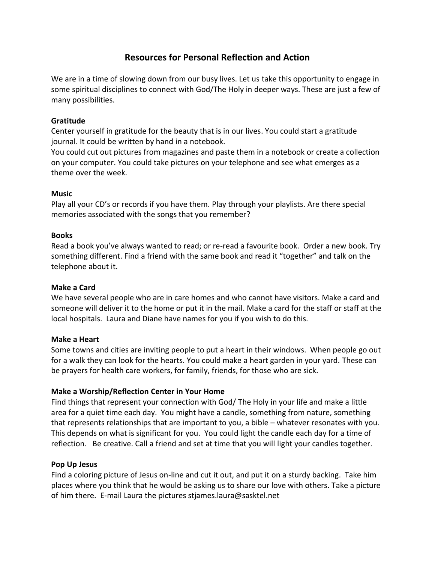# **Resources for Personal Reflection and Action**

We are in a time of slowing down from our busy lives. Let us take this opportunity to engage in some spiritual disciplines to connect with God/The Holy in deeper ways. These are just a few of many possibilities.

#### **Gratitude**

Center yourself in gratitude for the beauty that is in our lives. You could start a gratitude journal. It could be written by hand in a notebook.

You could cut out pictures from magazines and paste them in a notebook or create a collection on your computer. You could take pictures on your telephone and see what emerges as a theme over the week.

# **Music**

Play all your CD's or records if you have them. Play through your playlists. Are there special memories associated with the songs that you remember?

#### **Books**

Read a book you've always wanted to read; or re-read a favourite book. Order a new book. Try something different. Find a friend with the same book and read it "together" and talk on the telephone about it.

# **Make a Card**

We have several people who are in care homes and who cannot have visitors. Make a card and someone will deliver it to the home or put it in the mail. Make a card for the staff or staff at the local hospitals. Laura and Diane have names for you if you wish to do this.

# **Make a Heart**

Some towns and cities are inviting people to put a heart in their windows. When people go out for a walk they can look for the hearts. You could make a heart garden in your yard. These can be prayers for health care workers, for family, friends, for those who are sick.

# **Make a Worship/Reflection Center in Your Home**

Find things that represent your connection with God/ The Holy in your life and make a little area for a quiet time each day. You might have a candle, something from nature, something that represents relationships that are important to you, a bible – whatever resonates with you. This depends on what is significant for you. You could light the candle each day for a time of reflection. Be creative. Call a friend and set at time that you will light your candles together.

#### **Pop Up Jesus**

Find a coloring picture of Jesus on-line and cut it out, and put it on a sturdy backing. Take him places where you think that he would be asking us to share our love with others. Take a picture of him there. E-mail Laura the pictures stjames.laura@sasktel.net